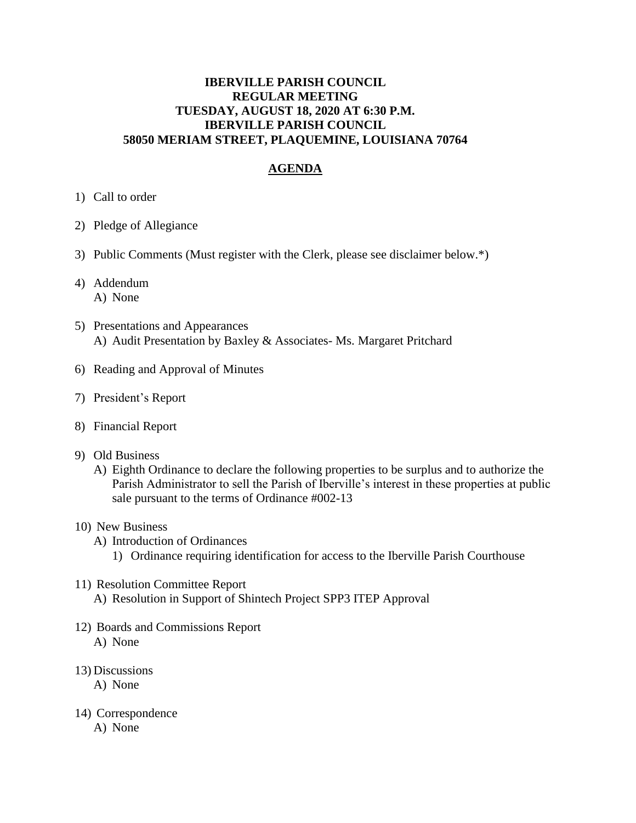## **IBERVILLE PARISH COUNCIL REGULAR MEETING TUESDAY, AUGUST 18, 2020 AT 6:30 P.M. IBERVILLE PARISH COUNCIL 58050 MERIAM STREET, PLAQUEMINE, LOUISIANA 70764**

## **AGENDA**

- 1) Call to order
- 2) Pledge of Allegiance
- 3) Public Comments (Must register with the Clerk, please see disclaimer below.\*)
- 4) Addendum A) None
- 5) Presentations and Appearances A) Audit Presentation by Baxley & Associates- Ms. Margaret Pritchard
- 6) Reading and Approval of Minutes
- 7) President's Report
- 8) Financial Report
- 9) Old Business
	- A) Eighth Ordinance to declare the following properties to be surplus and to authorize the Parish Administrator to sell the Parish of Iberville's interest in these properties at public sale pursuant to the terms of Ordinance #002-13
- 10) New Business
	- A) Introduction of Ordinances
		- 1) Ordinance requiring identification for access to the Iberville Parish Courthouse
- 11) Resolution Committee Report
	- A) Resolution in Support of Shintech Project SPP3 ITEP Approval
- 12) Boards and Commissions Report A) None
- 13) Discussions
	- A) None
- 14) Correspondence
	- A) None